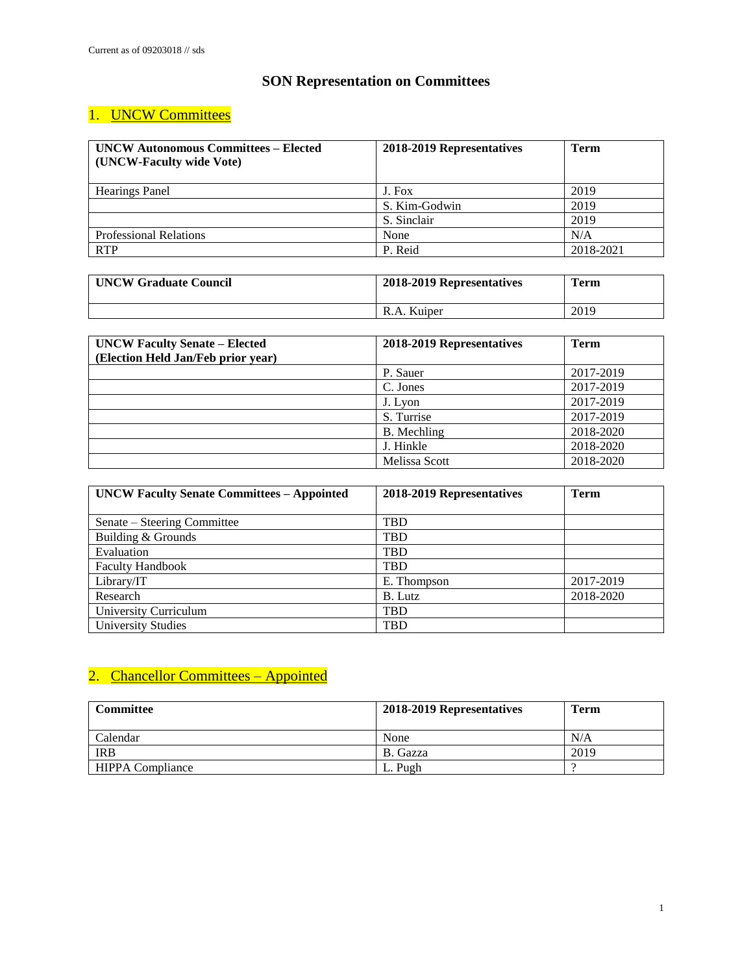#### **SON Representation on Committees**

### 1. UNCW Committees

| <b>UNCW Autonomous Committees – Elected</b><br>(UNCW-Faculty wide Vote) | 2018-2019 Representatives | <b>Term</b> |
|-------------------------------------------------------------------------|---------------------------|-------------|
| <b>Hearings Panel</b>                                                   | J. Fox                    | 2019        |
|                                                                         | S. Kim-Godwin             | 2019        |
|                                                                         | S. Sinclair               | 2019        |
| <b>Professional Relations</b>                                           | None                      | N/A         |
| <b>RTP</b>                                                              | P. Reid                   | 2018-2021   |

| <b>UNCW Graduate Council</b> | 2018-2019 Representatives | Term |
|------------------------------|---------------------------|------|
|                              | R.A. Kuiper               | 2019 |

| <b>UNCW Faculty Senate - Elected</b> | 2018-2019 Representatives | <b>Term</b> |
|--------------------------------------|---------------------------|-------------|
| (Election Held Jan/Feb prior year)   |                           |             |
|                                      | P. Sauer                  | 2017-2019   |
|                                      | C. Jones                  | 2017-2019   |
|                                      | J. Lyon                   | 2017-2019   |
|                                      | S. Turrise                | 2017-2019   |
|                                      | B. Mechling               | 2018-2020   |
|                                      | J. Hinkle                 | 2018-2020   |
|                                      | Melissa Scott             | 2018-2020   |

| <b>UNCW Faculty Senate Committees - Appointed</b> | 2018-2019 Representatives | <b>Term</b> |
|---------------------------------------------------|---------------------------|-------------|
|                                                   |                           |             |
| Senate – Steering Committee                       | TBD                       |             |
| Building & Grounds                                | <b>TBD</b>                |             |
| Evaluation                                        | <b>TBD</b>                |             |
| <b>Faculty Handbook</b>                           | TBD                       |             |
| Library/IT                                        | E. Thompson               | 2017-2019   |
| Research                                          | B. Lutz                   | 2018-2020   |
| University Curriculum                             | <b>TBD</b>                |             |
| <b>University Studies</b>                         | <b>TBD</b>                |             |

### 2. Chancellor Committees - Appointed

| Committee               | 2018-2019 Representatives | <b>Term</b> |
|-------------------------|---------------------------|-------------|
| Calendar                | None                      | N/A         |
| <b>IRB</b>              | B. Gazza                  | 2019        |
| <b>HIPPA Compliance</b> | L. Pugh                   |             |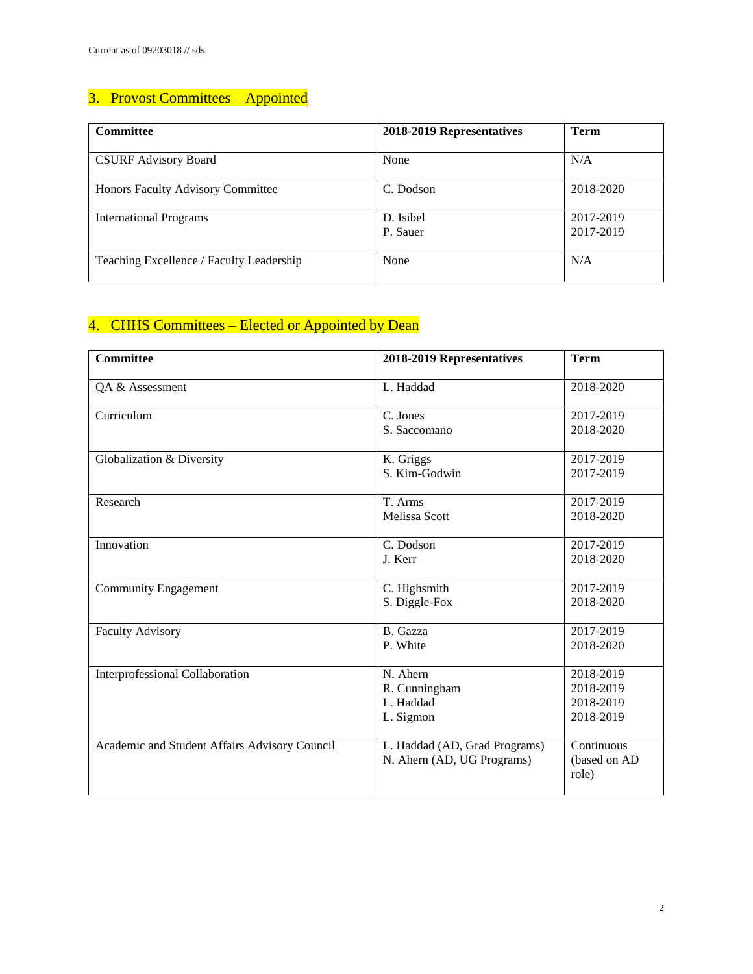### 3. Provost Committees - Appointed

| <b>Committee</b>                         | 2018-2019 Representatives | <b>Term</b>            |
|------------------------------------------|---------------------------|------------------------|
| <b>CSURF Advisory Board</b>              | None                      | N/A                    |
| Honors Faculty Advisory Committee        | C. Dodson                 | 2018-2020              |
| <b>International Programs</b>            | D. Isibel<br>P. Sauer     | 2017-2019<br>2017-2019 |
| Teaching Excellence / Faculty Leadership | None                      | N/A                    |

### 4. CHHS Committees – Elected or Appointed by Dean

| <b>Committee</b>                              | 2018-2019 Representatives                                   | <b>Term</b>                                      |
|-----------------------------------------------|-------------------------------------------------------------|--------------------------------------------------|
| QA & Assessment                               | L. Haddad                                                   | 2018-2020                                        |
| Curriculum                                    | C. Jones<br>S. Saccomano                                    | 2017-2019<br>2018-2020                           |
| Globalization & Diversity                     | K. Griggs<br>S. Kim-Godwin                                  | 2017-2019<br>2017-2019                           |
| Research                                      | T. Arms<br><b>Melissa Scott</b>                             | 2017-2019<br>2018-2020                           |
| Innovation                                    | C. Dodson<br>J. Kerr                                        | 2017-2019<br>2018-2020                           |
| <b>Community Engagement</b>                   | C. Highsmith<br>S. Diggle-Fox                               | 2017-2019<br>2018-2020                           |
| <b>Faculty Advisory</b>                       | B. Gazza<br>P. White                                        | 2017-2019<br>2018-2020                           |
| Interprofessional Collaboration               | N. Ahern<br>R. Cunningham<br>L. Haddad<br>L. Sigmon         | 2018-2019<br>2018-2019<br>2018-2019<br>2018-2019 |
| Academic and Student Affairs Advisory Council | L. Haddad (AD, Grad Programs)<br>N. Ahern (AD, UG Programs) | Continuous<br>(based on AD<br>role)              |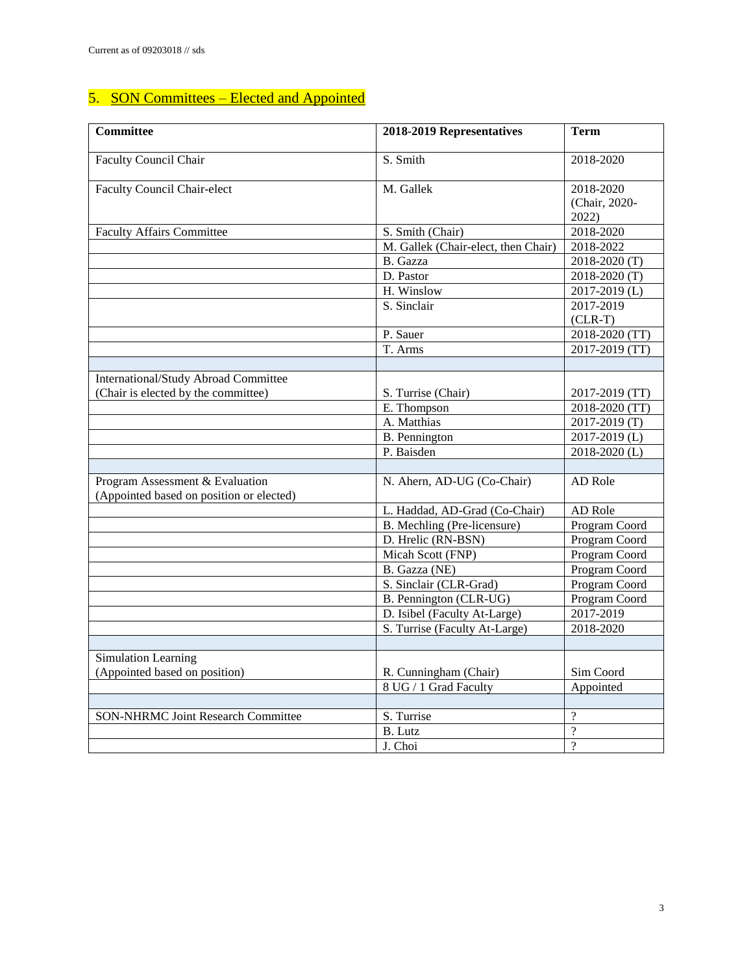# 5. SON Committees – Elected and Appointed

| <b>Committee</b>                                                            | 2018-2019 Representatives           | <b>Term</b>                         |
|-----------------------------------------------------------------------------|-------------------------------------|-------------------------------------|
| <b>Faculty Council Chair</b>                                                | S. Smith                            | 2018-2020                           |
| <b>Faculty Council Chair-elect</b>                                          | M. Gallek                           | 2018-2020<br>(Chair, 2020-<br>2022) |
| <b>Faculty Affairs Committee</b>                                            | S. Smith (Chair)                    | 2018-2020                           |
|                                                                             | M. Gallek (Chair-elect, then Chair) | 2018-2022                           |
|                                                                             | B. Gazza                            | 2018-2020 (T)                       |
|                                                                             | D. Pastor                           | 2018-2020 (T)                       |
|                                                                             | H. Winslow                          | 2017-2019 (L)                       |
|                                                                             | S. Sinclair                         | 2017-2019                           |
|                                                                             |                                     | $(CLR-T)$                           |
|                                                                             | P. Sauer                            | 2018-2020 (TT)                      |
|                                                                             | T. Arms                             | 2017-2019 (TT)                      |
|                                                                             |                                     |                                     |
| International/Study Abroad Committee                                        |                                     |                                     |
| (Chair is elected by the committee)                                         | S. Turrise (Chair)                  | 2017-2019 (TT)                      |
|                                                                             | E. Thompson                         | 2018-2020 (TT)                      |
|                                                                             | A. Matthias                         | 2017-2019 (T)                       |
|                                                                             | B. Pennington                       | 2017-2019 (L)                       |
|                                                                             | P. Baisden                          | 2018-2020 (L)                       |
|                                                                             |                                     |                                     |
| Program Assessment & Evaluation<br>(Appointed based on position or elected) | N. Ahern, AD-UG (Co-Chair)          | AD Role                             |
|                                                                             | L. Haddad, AD-Grad (Co-Chair)       | AD Role                             |
|                                                                             | B. Mechling (Pre-licensure)         | Program Coord                       |
|                                                                             | D. Hrelic (RN-BSN)                  | Program Coord                       |
|                                                                             | Micah Scott (FNP)                   | Program Coord                       |
|                                                                             | B. Gazza (NE)                       | Program Coord                       |
|                                                                             | S. Sinclair (CLR-Grad)              | Program Coord                       |
|                                                                             | B. Pennington (CLR-UG)              | Program Coord                       |
|                                                                             | D. Isibel (Faculty At-Large)        | 2017-2019                           |
|                                                                             | S. Turrise (Faculty At-Large)       | 2018-2020                           |
|                                                                             |                                     |                                     |
| Simulation Learning<br>(Appointed based on position)                        | R. Cunningham (Chair)               | Sim Coord                           |
|                                                                             | 8 UG / 1 Grad Faculty               | Appointed                           |
|                                                                             |                                     |                                     |
| <b>SON-NHRMC Joint Research Committee</b>                                   | S. Turrise                          | $\overline{?}$                      |
|                                                                             | <b>B.</b> Lutz                      | $\overline{?}$                      |
|                                                                             | J. Choi                             | $\overline{?}$                      |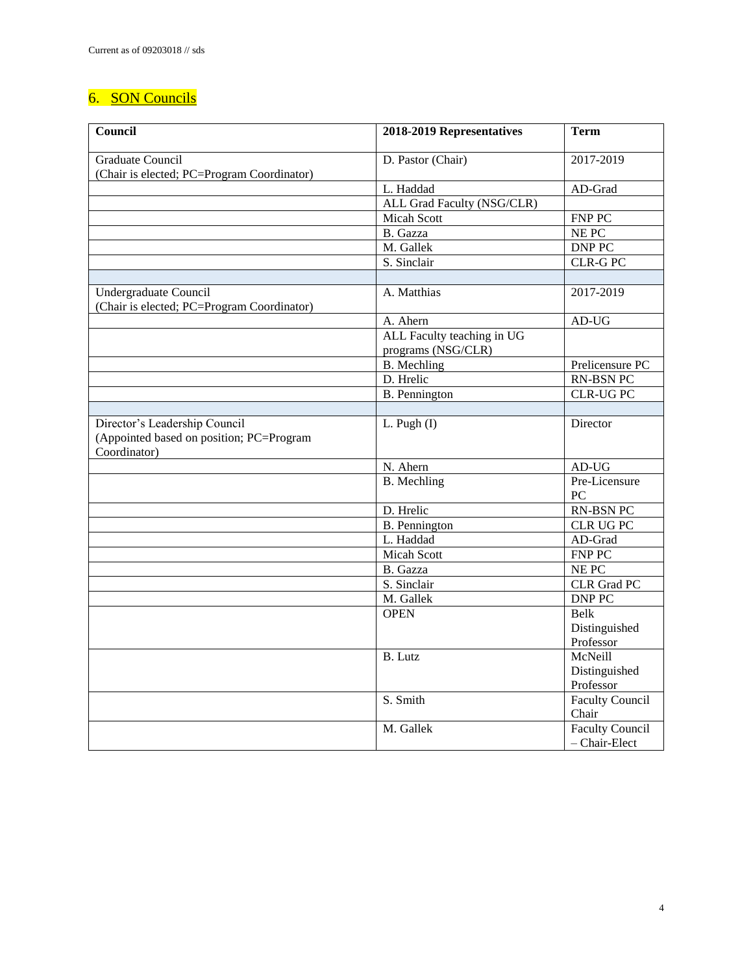### 6. SON Councils

| Council                                                                                   | 2018-2019 Representatives                        | <b>Term</b>                             |
|-------------------------------------------------------------------------------------------|--------------------------------------------------|-----------------------------------------|
| <b>Graduate Council</b><br>(Chair is elected; PC=Program Coordinator)                     | D. Pastor (Chair)                                | 2017-2019                               |
|                                                                                           | L. Haddad                                        | AD-Grad                                 |
|                                                                                           | ALL Grad Faculty (NSG/CLR)                       |                                         |
|                                                                                           | <b>Micah Scott</b>                               | <b>FNP PC</b>                           |
|                                                                                           | B. Gazza                                         | NE PC                                   |
|                                                                                           | M. Gallek                                        | <b>DNP PC</b>                           |
|                                                                                           | S. Sinclair                                      | <b>CLR-G PC</b>                         |
|                                                                                           |                                                  |                                         |
| Undergraduate Council<br>(Chair is elected; PC=Program Coordinator)                       | A. Matthias                                      | 2017-2019                               |
|                                                                                           | A. Ahern                                         | $AD-UG$                                 |
|                                                                                           | ALL Faculty teaching in UG<br>programs (NSG/CLR) |                                         |
|                                                                                           | <b>B.</b> Mechling                               | Prelicensure PC                         |
|                                                                                           | D. Hrelic                                        | <b>RN-BSN PC</b>                        |
|                                                                                           | <b>B.</b> Pennington                             | <b>CLR-UG PC</b>                        |
|                                                                                           |                                                  |                                         |
| Director's Leadership Council<br>(Appointed based on position; PC=Program<br>Coordinator) | L. Pugh (I)                                      | Director                                |
|                                                                                           | N. Ahern                                         | $AD-UG$                                 |
|                                                                                           | <b>B.</b> Mechling                               | Pre-Licensure<br>PC                     |
|                                                                                           | D. Hrelic                                        | RN-BSN PC                               |
|                                                                                           | <b>B.</b> Pennington                             | CLR UG PC                               |
|                                                                                           | L. Haddad                                        | AD-Grad                                 |
|                                                                                           | <b>Micah Scott</b>                               | FNP PC                                  |
|                                                                                           | B. Gazza                                         | NE PC                                   |
|                                                                                           | S. Sinclair                                      | <b>CLR</b> Grad PC                      |
|                                                                                           | M. Gallek                                        | <b>DNP PC</b>                           |
|                                                                                           | <b>OPEN</b>                                      | <b>Belk</b>                             |
|                                                                                           |                                                  | Distinguished                           |
|                                                                                           |                                                  | Professor                               |
|                                                                                           | B. Lutz                                          | McNeill                                 |
|                                                                                           |                                                  | Distinguished                           |
|                                                                                           |                                                  | Professor                               |
|                                                                                           | S. Smith                                         | <b>Faculty Council</b><br>Chair         |
|                                                                                           | M. Gallek                                        | <b>Faculty Council</b><br>- Chair-Elect |